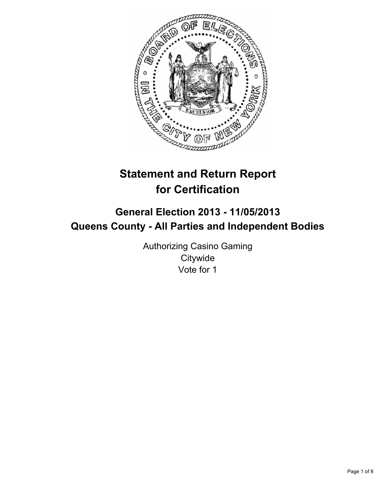

# **Statement and Return Report for Certification**

# **General Election 2013 - 11/05/2013 Queens County - All Parties and Independent Bodies**

Authorizing Casino Gaming **Citywide** Vote for 1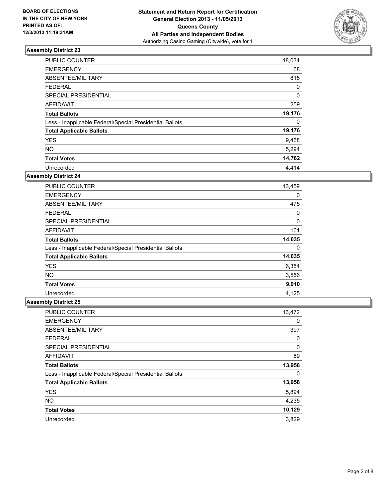

| <b>PUBLIC COUNTER</b>                                    | 18,034 |
|----------------------------------------------------------|--------|
| <b>EMERGENCY</b>                                         | 68     |
| ABSENTEE/MILITARY                                        | 815    |
| <b>FEDERAL</b>                                           | 0      |
| SPECIAL PRESIDENTIAL                                     | 0      |
| <b>AFFIDAVIT</b>                                         | 259    |
| <b>Total Ballots</b>                                     | 19,176 |
| Less - Inapplicable Federal/Special Presidential Ballots | 0      |
| <b>Total Applicable Ballots</b>                          | 19,176 |
| <b>YES</b>                                               | 9,468  |
| <b>NO</b>                                                | 5,294  |
| <b>Total Votes</b>                                       | 14,762 |
| Unrecorded                                               | 4.414  |

### **Assembly District 24**

| <b>PUBLIC COUNTER</b>                                    | 13,459 |
|----------------------------------------------------------|--------|
| <b>EMERGENCY</b>                                         | 0      |
| ABSENTEE/MILITARY                                        | 475    |
| <b>FEDERAL</b>                                           | 0      |
| <b>SPECIAL PRESIDENTIAL</b>                              | 0      |
| AFFIDAVIT                                                | 101    |
| <b>Total Ballots</b>                                     | 14,035 |
| Less - Inapplicable Federal/Special Presidential Ballots | 0      |
| <b>Total Applicable Ballots</b>                          | 14,035 |
| <b>YES</b>                                               | 6,354  |
| <b>NO</b>                                                | 3,556  |
| <b>Total Votes</b>                                       | 9,910  |
| Unrecorded                                               | 4,125  |

| PUBLIC COUNTER                                           | 13,472 |
|----------------------------------------------------------|--------|
| <b>EMERGENCY</b>                                         | 0      |
| ABSENTEE/MILITARY                                        | 397    |
| <b>FEDERAL</b>                                           | 0      |
| SPECIAL PRESIDENTIAL                                     | 0      |
| <b>AFFIDAVIT</b>                                         | 89     |
| <b>Total Ballots</b>                                     | 13,958 |
| Less - Inapplicable Federal/Special Presidential Ballots | 0      |
| <b>Total Applicable Ballots</b>                          | 13,958 |
| <b>YES</b>                                               | 5,894  |
| <b>NO</b>                                                | 4,235  |
| <b>Total Votes</b>                                       | 10,129 |
| Unrecorded                                               | 3,829  |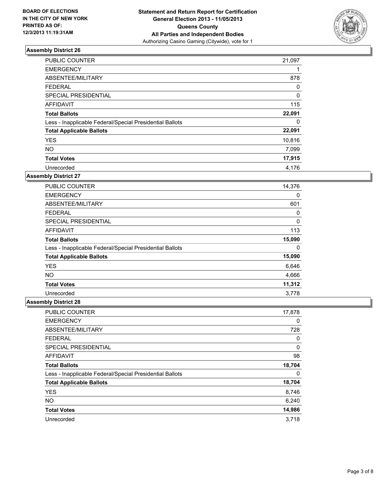

| <b>PUBLIC COUNTER</b>                                    | 21,097 |
|----------------------------------------------------------|--------|
| <b>EMERGENCY</b>                                         |        |
| ABSENTEE/MILITARY                                        | 878    |
| <b>FEDERAL</b>                                           | 0      |
| SPECIAL PRESIDENTIAL                                     | 0      |
| <b>AFFIDAVIT</b>                                         | 115    |
| <b>Total Ballots</b>                                     | 22,091 |
| Less - Inapplicable Federal/Special Presidential Ballots | 0      |
| <b>Total Applicable Ballots</b>                          | 22,091 |
| <b>YES</b>                                               | 10,816 |
| <b>NO</b>                                                | 7,099  |
| <b>Total Votes</b>                                       | 17,915 |
| Unrecorded                                               | 4.176  |

### **Assembly District 27**

| <b>PUBLIC COUNTER</b>                                    | 14,376 |
|----------------------------------------------------------|--------|
| <b>EMERGENCY</b>                                         | 0      |
| ABSENTEE/MILITARY                                        | 601    |
| <b>FEDERAL</b>                                           | 0      |
| <b>SPECIAL PRESIDENTIAL</b>                              | 0      |
| AFFIDAVIT                                                | 113    |
| <b>Total Ballots</b>                                     | 15,090 |
| Less - Inapplicable Federal/Special Presidential Ballots | 0      |
| <b>Total Applicable Ballots</b>                          | 15,090 |
| <b>YES</b>                                               | 6,646  |
| <b>NO</b>                                                | 4,666  |
| <b>Total Votes</b>                                       | 11,312 |
| Unrecorded                                               | 3,778  |

| <b>PUBLIC COUNTER</b>                                    | 17,878 |
|----------------------------------------------------------|--------|
| <b>EMERGENCY</b>                                         | 0      |
| ABSENTEE/MILITARY                                        | 728    |
| <b>FEDERAL</b>                                           | 0      |
| SPECIAL PRESIDENTIAL                                     | 0      |
| AFFIDAVIT                                                | 98     |
| <b>Total Ballots</b>                                     | 18,704 |
| Less - Inapplicable Federal/Special Presidential Ballots | 0      |
| <b>Total Applicable Ballots</b>                          | 18,704 |
| <b>YES</b>                                               | 8,746  |
| <b>NO</b>                                                | 6,240  |
| <b>Total Votes</b>                                       | 14,986 |
| Unrecorded                                               | 3,718  |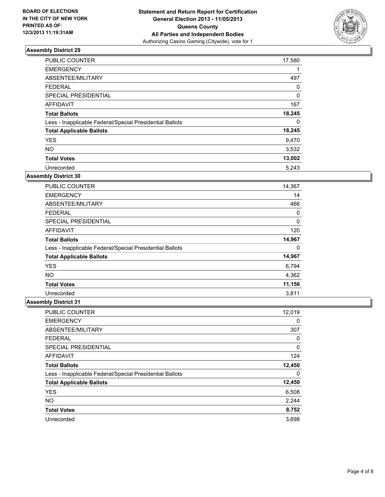

| <b>PUBLIC COUNTER</b>                                    | 17,580 |
|----------------------------------------------------------|--------|
| <b>EMERGENCY</b>                                         | 1      |
| ABSENTEE/MILITARY                                        | 497    |
| <b>FEDERAL</b>                                           | 0      |
| <b>SPECIAL PRESIDENTIAL</b>                              | 0      |
| <b>AFFIDAVIT</b>                                         | 167    |
| <b>Total Ballots</b>                                     | 18,245 |
| Less - Inapplicable Federal/Special Presidential Ballots | 0      |
| <b>Total Applicable Ballots</b>                          | 18,245 |
| <b>YES</b>                                               | 9,470  |
| <b>NO</b>                                                | 3,532  |
| <b>Total Votes</b>                                       | 13,002 |
| Unrecorded                                               | 5,243  |

### **Assembly District 30**

| <b>PUBLIC COUNTER</b>                                    | 14,367 |
|----------------------------------------------------------|--------|
| <b>EMERGENCY</b>                                         | 14     |
| ABSENTEE/MILITARY                                        | 466    |
| <b>FEDERAL</b>                                           | 0      |
| SPECIAL PRESIDENTIAL                                     | 0      |
| AFFIDAVIT                                                | 120    |
| <b>Total Ballots</b>                                     | 14,967 |
| Less - Inapplicable Federal/Special Presidential Ballots | 0      |
| <b>Total Applicable Ballots</b>                          | 14,967 |
| <b>YES</b>                                               | 6,794  |
| <b>NO</b>                                                | 4,362  |
| <b>Total Votes</b>                                       | 11,156 |
| Unrecorded                                               | 3,811  |

| <b>PUBLIC COUNTER</b>                                    | 12,019 |
|----------------------------------------------------------|--------|
| <b>EMERGENCY</b>                                         | 0      |
| ABSENTEE/MILITARY                                        | 307    |
| <b>FEDERAL</b>                                           | 0      |
| SPECIAL PRESIDENTIAL                                     | 0      |
| AFFIDAVIT                                                | 124    |
| <b>Total Ballots</b>                                     | 12,450 |
| Less - Inapplicable Federal/Special Presidential Ballots | 0      |
| <b>Total Applicable Ballots</b>                          | 12,450 |
| <b>YES</b>                                               | 6,508  |
| <b>NO</b>                                                | 2,244  |
| <b>Total Votes</b>                                       | 8,752  |
| Unrecorded                                               | 3,698  |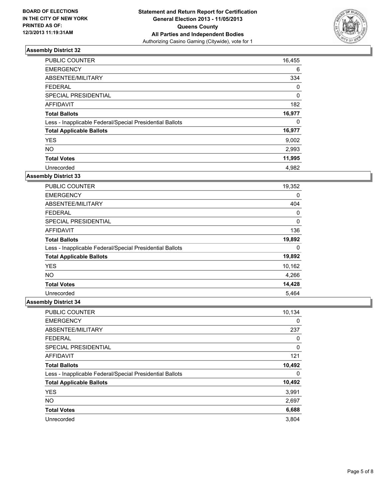

| <b>PUBLIC COUNTER</b>                                    | 16,455 |
|----------------------------------------------------------|--------|
| <b>EMERGENCY</b>                                         | 6      |
| ABSENTEE/MILITARY                                        | 334    |
| <b>FEDERAL</b>                                           | 0      |
| <b>SPECIAL PRESIDENTIAL</b>                              | 0      |
| <b>AFFIDAVIT</b>                                         | 182    |
| <b>Total Ballots</b>                                     | 16,977 |
| Less - Inapplicable Federal/Special Presidential Ballots | 0      |
| <b>Total Applicable Ballots</b>                          | 16,977 |
| <b>YES</b>                                               | 9,002  |
| <b>NO</b>                                                | 2,993  |
| <b>Total Votes</b>                                       | 11,995 |
| Unrecorded                                               | 4,982  |

### **Assembly District 33**

| PUBLIC COUNTER                                           | 19,352 |
|----------------------------------------------------------|--------|
| <b>EMERGENCY</b>                                         | 0      |
| ABSENTEE/MILITARY                                        | 404    |
| <b>FEDERAL</b>                                           | 0      |
| <b>SPECIAL PRESIDENTIAL</b>                              | 0      |
| <b>AFFIDAVIT</b>                                         | 136    |
| <b>Total Ballots</b>                                     | 19,892 |
| Less - Inapplicable Federal/Special Presidential Ballots | 0      |
| <b>Total Applicable Ballots</b>                          | 19,892 |
| <b>YES</b>                                               | 10,162 |
| <b>NO</b>                                                | 4,266  |
| <b>Total Votes</b>                                       | 14,428 |
| Unrecorded                                               | 5.464  |

| PUBLIC COUNTER                                           | 10,134 |
|----------------------------------------------------------|--------|
| <b>EMERGENCY</b>                                         | 0      |
| ABSENTEE/MILITARY                                        | 237    |
| <b>FEDERAL</b>                                           | 0      |
| SPECIAL PRESIDENTIAL                                     | 0      |
| <b>AFFIDAVIT</b>                                         | 121    |
| <b>Total Ballots</b>                                     | 10,492 |
| Less - Inapplicable Federal/Special Presidential Ballots | 0      |
| <b>Total Applicable Ballots</b>                          | 10,492 |
| <b>YES</b>                                               | 3,991  |
| <b>NO</b>                                                | 2,697  |
| <b>Total Votes</b>                                       | 6,688  |
| Unrecorded                                               | 3.804  |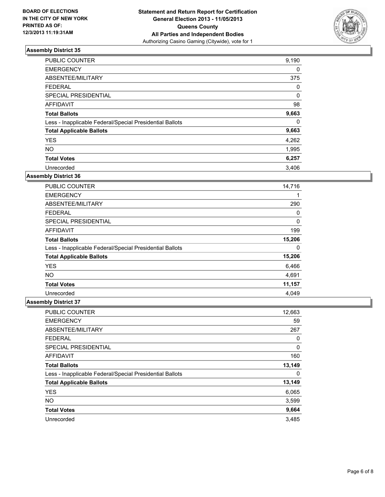

| <b>PUBLIC COUNTER</b>                                    | 9,190    |
|----------------------------------------------------------|----------|
| <b>EMERGENCY</b>                                         | 0        |
| ABSENTEE/MILITARY                                        | 375      |
| <b>FEDERAL</b>                                           | 0        |
| SPECIAL PRESIDENTIAL                                     | $\Omega$ |
| <b>AFFIDAVIT</b>                                         | 98       |
| <b>Total Ballots</b>                                     | 9,663    |
| Less - Inapplicable Federal/Special Presidential Ballots | 0        |
| <b>Total Applicable Ballots</b>                          | 9,663    |
| <b>YES</b>                                               | 4,262    |
| <b>NO</b>                                                | 1,995    |
| <b>Total Votes</b>                                       | 6,257    |
| Unrecorded                                               | 3.406    |

### **Assembly District 36**

| <b>PUBLIC COUNTER</b>                                    | 14,716 |
|----------------------------------------------------------|--------|
| <b>EMERGENCY</b>                                         |        |
| ABSENTEE/MILITARY                                        | 290    |
| <b>FEDERAL</b>                                           | 0      |
| <b>SPECIAL PRESIDENTIAL</b>                              | 0      |
| AFFIDAVIT                                                | 199    |
| <b>Total Ballots</b>                                     | 15,206 |
| Less - Inapplicable Federal/Special Presidential Ballots | 0      |
| <b>Total Applicable Ballots</b>                          | 15,206 |
| <b>YES</b>                                               | 6,466  |
| <b>NO</b>                                                | 4,691  |
| <b>Total Votes</b>                                       | 11,157 |
| Unrecorded                                               | 4.049  |

| PUBLIC COUNTER                                           | 12,663 |
|----------------------------------------------------------|--------|
| <b>EMERGENCY</b>                                         | 59     |
| ABSENTEE/MILITARY                                        | 267    |
| <b>FEDERAL</b>                                           | 0      |
| SPECIAL PRESIDENTIAL                                     | 0      |
| <b>AFFIDAVIT</b>                                         | 160    |
| <b>Total Ballots</b>                                     | 13,149 |
| Less - Inapplicable Federal/Special Presidential Ballots | 0      |
| <b>Total Applicable Ballots</b>                          | 13,149 |
| <b>YES</b>                                               | 6,065  |
| <b>NO</b>                                                | 3,599  |
| <b>Total Votes</b>                                       | 9,664  |
| Unrecorded                                               | 3.485  |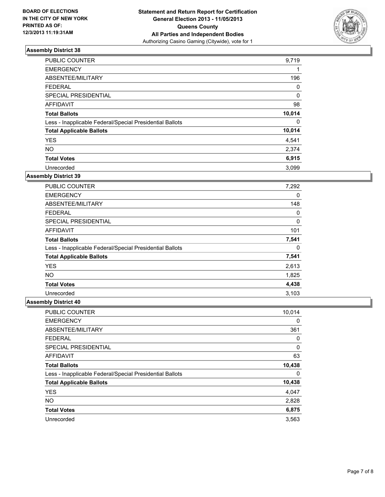

| <b>PUBLIC COUNTER</b>                                    | 9,719  |
|----------------------------------------------------------|--------|
| <b>EMERGENCY</b>                                         | 1      |
| ABSENTEE/MILITARY                                        | 196    |
| <b>FEDERAL</b>                                           | 0      |
| <b>SPECIAL PRESIDENTIAL</b>                              | 0      |
| <b>AFFIDAVIT</b>                                         | 98     |
| <b>Total Ballots</b>                                     | 10,014 |
| Less - Inapplicable Federal/Special Presidential Ballots | 0      |
| <b>Total Applicable Ballots</b>                          | 10,014 |
| <b>YES</b>                                               | 4,541  |
| <b>NO</b>                                                | 2,374  |
| <b>Total Votes</b>                                       | 6,915  |
| Unrecorded                                               | 3.099  |

### **Assembly District 39**

| <b>PUBLIC COUNTER</b>                                    | 7,292 |
|----------------------------------------------------------|-------|
| <b>EMERGENCY</b>                                         | 0     |
| ABSENTEE/MILITARY                                        | 148   |
| <b>FEDERAL</b>                                           | 0     |
| <b>SPECIAL PRESIDENTIAL</b>                              | 0     |
| AFFIDAVIT                                                | 101   |
| <b>Total Ballots</b>                                     | 7,541 |
| Less - Inapplicable Federal/Special Presidential Ballots | 0     |
| <b>Total Applicable Ballots</b>                          | 7,541 |
| <b>YES</b>                                               | 2,613 |
| NO.                                                      | 1,825 |
| <b>Total Votes</b>                                       | 4,438 |
| Unrecorded                                               | 3.103 |

| PUBLIC COUNTER                                           | 10,014 |
|----------------------------------------------------------|--------|
| <b>EMERGENCY</b>                                         | 0      |
| ABSENTEE/MILITARY                                        | 361    |
| <b>FEDERAL</b>                                           | 0      |
| SPECIAL PRESIDENTIAL                                     | 0      |
| AFFIDAVIT                                                | 63     |
| <b>Total Ballots</b>                                     | 10,438 |
| Less - Inapplicable Federal/Special Presidential Ballots | 0      |
| <b>Total Applicable Ballots</b>                          | 10,438 |
| <b>YES</b>                                               | 4,047  |
| <b>NO</b>                                                | 2,828  |
| <b>Total Votes</b>                                       | 6,875  |
| Unrecorded                                               | 3,563  |